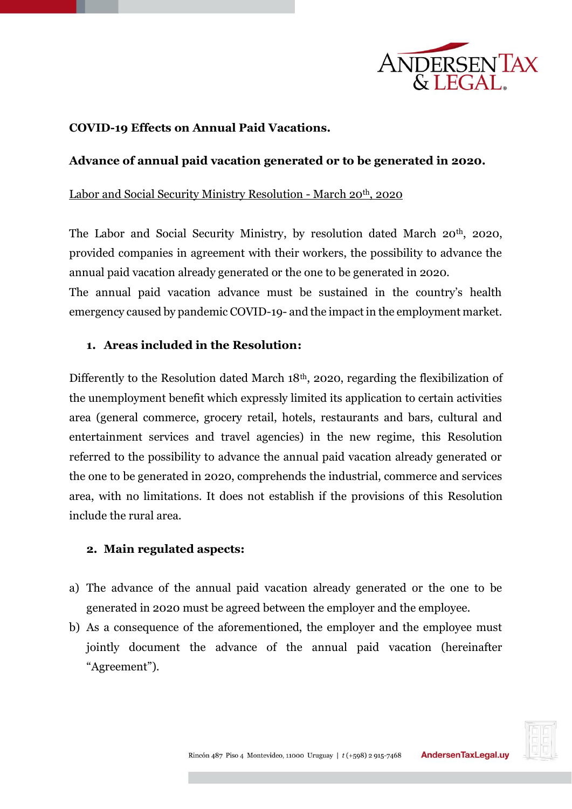

# **COVID-19 Effects on Annual Paid Vacations.**

## **Advance of annual paid vacation generated or to be generated in 2020.**

#### Labor and Social Security Ministry Resolution - March 20<sup>th</sup>, 2020

The Labor and Social Security Ministry, by resolution dated March 20<sup>th</sup>, 2020, provided companies in agreement with their workers, the possibility to advance the annual paid vacation already generated or the one to be generated in 2020.

The annual paid vacation advance must be sustained in the country's health emergency caused by pandemic COVID-19- and the impact in the employment market.

### **1. Areas included in the Resolution:**

Differently to the Resolution dated March 18<sup>th</sup>, 2020, regarding the flexibilization of the unemployment benefit which expressly limited its application to certain activities area (general commerce, grocery retail, hotels, restaurants and bars, cultural and entertainment services and travel agencies) in the new regime, this Resolution referred to the possibility to advance the annual paid vacation already generated or the one to be generated in 2020, comprehends the industrial, commerce and services area, with no limitations. It does not establish if the provisions of this Resolution include the rural area.

#### **2. Main regulated aspects:**

- a) The advance of the annual paid vacation already generated or the one to be generated in 2020 must be agreed between the employer and the employee.
- b) As a consequence of the aforementioned, the employer and the employee must jointly document the advance of the annual paid vacation (hereinafter "Agreement").

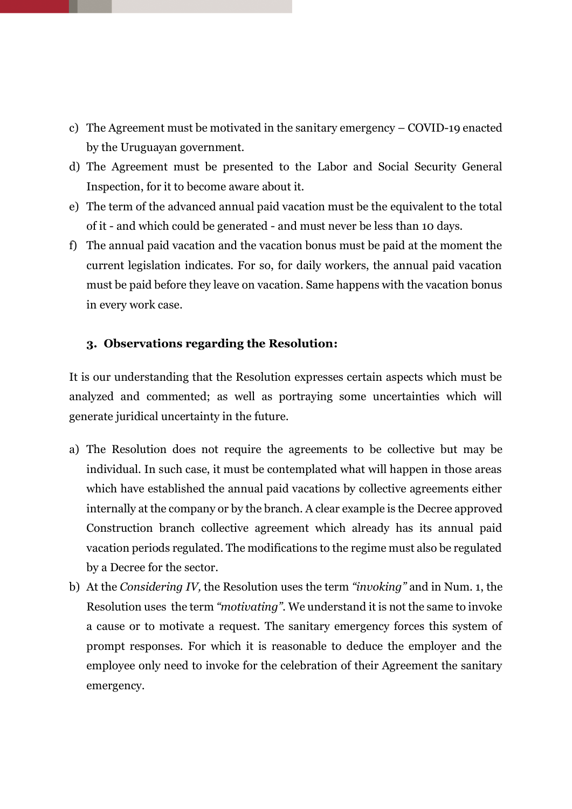- c) The Agreement must be motivated in the sanitary emergency COVID-19 enacted by the Uruguayan government.
- d) The Agreement must be presented to the Labor and Social Security General Inspection, for it to become aware about it.
- e) The term of the advanced annual paid vacation must be the equivalent to the total of it - and which could be generated - and must never be less than 10 days.
- f) The annual paid vacation and the vacation bonus must be paid at the moment the current legislation indicates. For so, for daily workers, the annual paid vacation must be paid before they leave on vacation. Same happens with the vacation bonus in every work case.

## **3. Observations regarding the Resolution:**

It is our understanding that the Resolution expresses certain aspects which must be analyzed and commented; as well as portraying some uncertainties which will generate juridical uncertainty in the future.

- a) The Resolution does not require the agreements to be collective but may be individual. In such case, it must be contemplated what will happen in those areas which have established the annual paid vacations by collective agreements either internally at the company or by the branch. A clear example is the Decree approved Construction branch collective agreement which already has its annual paid vacation periods regulated. The modifications to the regime must also be regulated by a Decree for the sector.
- b) At the *Considering IV,* the Resolution uses the term *"invoking"* and in Num. 1, the Resolution usesthe term *"motivating".* We understand it is not the same to invoke a cause or to motivate a request. The sanitary emergency forces this system of prompt responses. For which it is reasonable to deduce the employer and the employee only need to invoke for the celebration of their Agreement the sanitary emergency.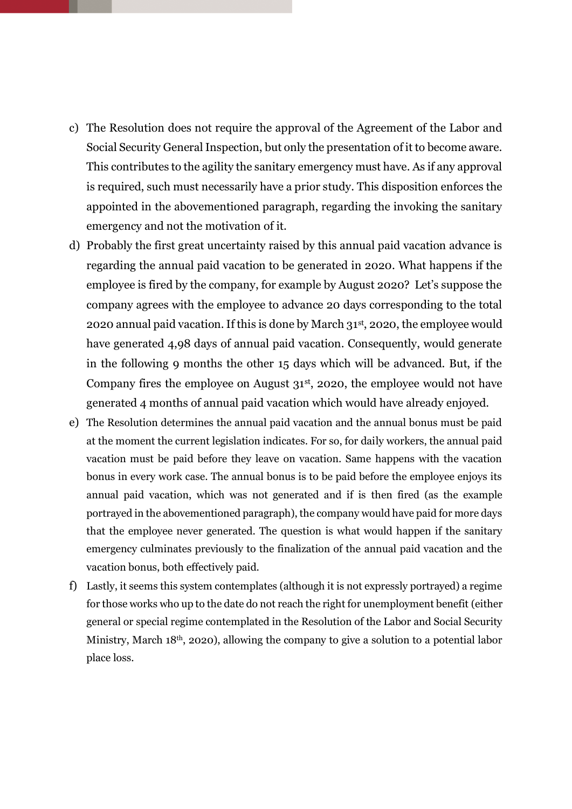- c) The Resolution does not require the approval of the Agreement of the Labor and Social Security General Inspection, but only the presentation of it to become aware. This contributes to the agility the sanitary emergency must have. As if any approval is required, such must necessarily have a prior study. This disposition enforces the appointed in the abovementioned paragraph, regarding the invoking the sanitary emergency and not the motivation of it.
- d) Probably the first great uncertainty raised by this annual paid vacation advance is regarding the annual paid vacation to be generated in 2020. What happens if the employee is fired by the company, for example by August 2020? Let's suppose the company agrees with the employee to advance 20 days corresponding to the total 2020 annual paid vacation. If this is done by March 31st, 2020, the employee would have generated 4,98 days of annual paid vacation. Consequently, would generate in the following 9 months the other 15 days which will be advanced. But, if the Company fires the employee on August 31<sup>st</sup>, 2020, the employee would not have generated 4 months of annual paid vacation which would have already enjoyed.
- e) The Resolution determines the annual paid vacation and the annual bonus must be paid at the moment the current legislation indicates. For so, for daily workers, the annual paid vacation must be paid before they leave on vacation. Same happens with the vacation bonus in every work case. The annual bonus is to be paid before the employee enjoys its annual paid vacation, which was not generated and if is then fired (as the example portrayed in the abovementioned paragraph), the company would have paid for more days that the employee never generated. The question is what would happen if the sanitary emergency culminates previously to the finalization of the annual paid vacation and the vacation bonus, both effectively paid.
- f) Lastly, it seems this system contemplates (although it is not expressly portrayed) a regime for those works who up to the date do not reach the right for unemployment benefit (either general or special regime contemplated in the Resolution of the Labor and Social Security Ministry, March 18<sup>th</sup>, 2020), allowing the company to give a solution to a potential labor place loss.